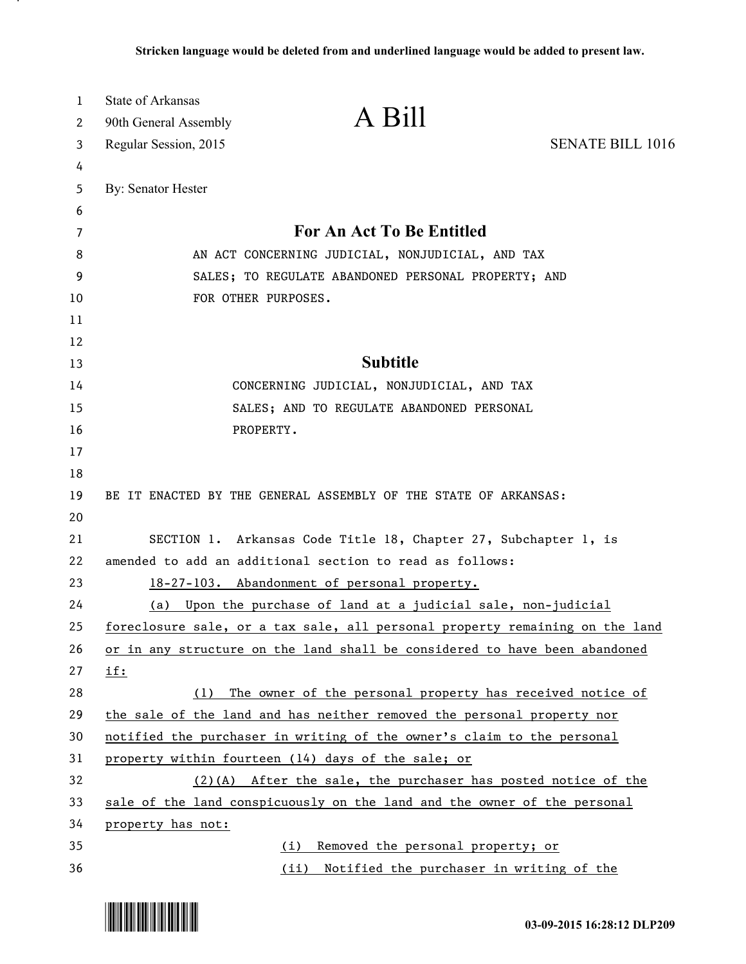| 1<br>2 | <b>State of Arkansas</b><br>A Bill<br>90th General Assembly                  |                         |
|--------|------------------------------------------------------------------------------|-------------------------|
| 3      | Regular Session, 2015                                                        | <b>SENATE BILL 1016</b> |
| 4      |                                                                              |                         |
| 5      | By: Senator Hester                                                           |                         |
| 6      |                                                                              |                         |
| 7      | <b>For An Act To Be Entitled</b>                                             |                         |
| 8      | AN ACT CONCERNING JUDICIAL, NONJUDICIAL, AND TAX                             |                         |
| 9      | SALES; TO REGULATE ABANDONED PERSONAL PROPERTY; AND                          |                         |
| 10     | FOR OTHER PURPOSES.                                                          |                         |
| 11     |                                                                              |                         |
| 12     |                                                                              |                         |
| 13     | <b>Subtitle</b>                                                              |                         |
| 14     | CONCERNING JUDICIAL, NONJUDICIAL, AND TAX                                    |                         |
| 15     | SALES; AND TO REGULATE ABANDONED PERSONAL                                    |                         |
| 16     | PROPERTY.                                                                    |                         |
| 17     |                                                                              |                         |
| 18     |                                                                              |                         |
| 19     | BE IT ENACTED BY THE GENERAL ASSEMBLY OF THE STATE OF ARKANSAS:              |                         |
| 20     |                                                                              |                         |
| 21     | SECTION 1. Arkansas Code Title 18, Chapter 27, Subchapter 1, is              |                         |
| 22     | amended to add an additional section to read as follows:                     |                         |
| 23     | 18-27-103. Abandonment of personal property.                                 |                         |
| 24     | Upon the purchase of land at a judicial sale, non-judicial<br>(a)            |                         |
| 25     | foreclosure sale, or a tax sale, all personal property remaining on the land |                         |
| 26     | or in any structure on the land shall be considered to have been abandoned   |                         |
| 27     | <u>if:</u>                                                                   |                         |
| 28     | The owner of the personal property has received notice of<br>(1)             |                         |
| 29     | the sale of the land and has neither removed the personal property nor       |                         |
| 30     | notified the purchaser in writing of the owner's claim to the personal       |                         |
| 31     | property within fourteen (14) days of the sale; or                           |                         |
| 32     | $(2)(A)$ After the sale, the purchaser has posted notice of the              |                         |
| 33     | sale of the land conspicuously on the land and the owner of the personal     |                         |
| 34     | property has not:                                                            |                         |
| 35     | Removed the personal property; or<br>(i)                                     |                         |
| 36     | (ii) Notified the purchaser in writing of the                                |                         |



.